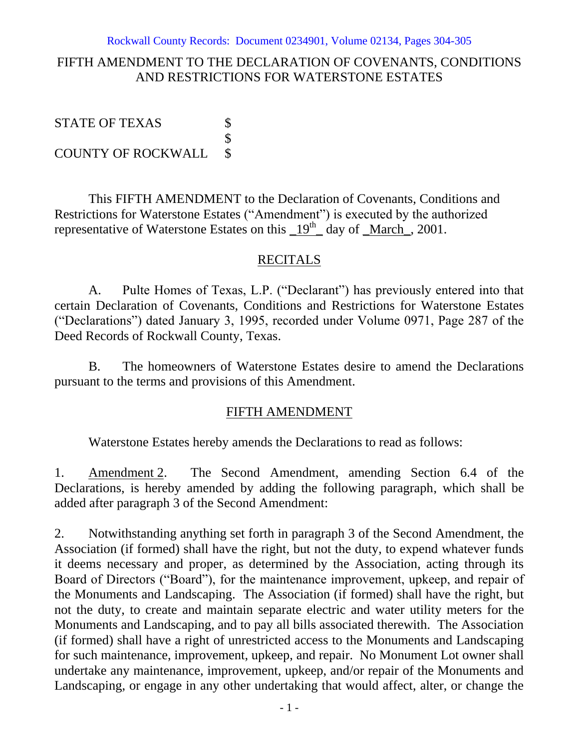## FIFTH AMENDMENT TO THE DECLARATION OF COVENANTS, CONDITIONS AND RESTRICTIONS FOR WATERSTONE ESTATES

STATE OF TEXAS \$ \$ COUNTY OF ROCKWALL \$

This FIFTH AMENDMENT to the Declaration of Covenants, Conditions and Restrictions for Waterstone Estates ("Amendment") is executed by the authorized representative of Waterstone Estates on this  $19<sup>th</sup>$  day of <u>March</u>, 2001.

## **RECITALS**

A. Pulte Homes of Texas, L.P. ("Declarant") has previously entered into that certain Declaration of Covenants, Conditions and Restrictions for Waterstone Estates ("Declarations") dated January 3, 1995, recorded under Volume 0971, Page 287 of the Deed Records of Rockwall County, Texas.

B. The homeowners of Waterstone Estates desire to amend the Declarations pursuant to the terms and provisions of this Amendment.

## FIFTH AMENDMENT

Waterstone Estates hereby amends the Declarations to read as follows:

1. Amendment 2. The Second Amendment, amending Section 6.4 of the Declarations, is hereby amended by adding the following paragraph, which shall be added after paragraph 3 of the Second Amendment:

2. Notwithstanding anything set forth in paragraph 3 of the Second Amendment, the Association (if formed) shall have the right, but not the duty, to expend whatever funds it deems necessary and proper, as determined by the Association, acting through its Board of Directors ("Board"), for the maintenance improvement, upkeep, and repair of the Monuments and Landscaping. The Association (if formed) shall have the right, but not the duty, to create and maintain separate electric and water utility meters for the Monuments and Landscaping, and to pay all bills associated therewith. The Association (if formed) shall have a right of unrestricted access to the Monuments and Landscaping for such maintenance, improvement, upkeep, and repair. No Monument Lot owner shall undertake any maintenance, improvement, upkeep, and/or repair of the Monuments and Landscaping, or engage in any other undertaking that would affect, alter, or change the